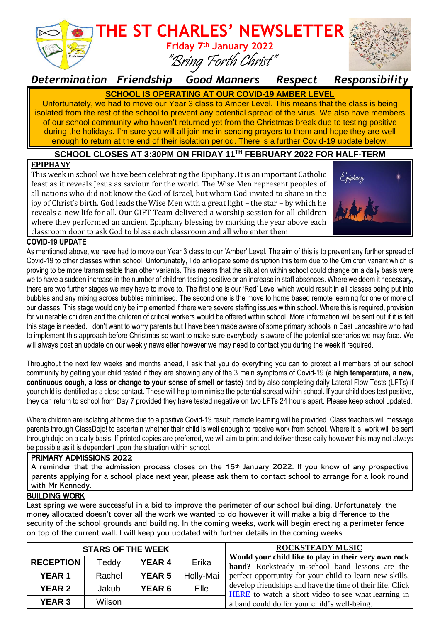

*Determination Friendship Good Manners Respect Responsibility*

### **SCHOOL IS OPERATING AT OUR COVID-19 AMBER LEVEL**

Unfortunately, we had to move our Year 3 class to Amber Level. This means that the class is being isolated from the rest of the school to prevent any potential spread of the virus. We also have members of our school community who haven't returned yet from the Christmas break due to testing positive during the holidays. I'm sure you will all join me in sending prayers to them and hope they are well enough to return at the end of their isolation period. There is a further Covid-19 update below.

#### **SCHOOL CLOSES AT 3:30PM ON FRIDAY 11 TH FEBRUARY 2022 FOR HALF-TERM**

#### **EPIPHANY**

This week in school we have been celebrating the Epiphany. It is an important Catholic feast as it reveals Jesus as saviour for the world. The Wise Men represent peoples of all nations who did not know the God of Israel, but whom God invited to share in the joy of Christ's birth. God leads the Wise Men with a great light – the star – by which he reveals a new life for all. Our GIFT Team delivered a worship session for all children where they performed an ancient Epiphany blessing by marking the year above each classroom door to ask God to bless each classroom and all who enter them.



#### **COVID-19 UPDATE**

As mentioned above, we have had to move our Year 3 class to our 'Amber' Level. The aim of this is to prevent any further spread of Covid-19 to other classes within school. Unfortunately, I do anticipate some disruption this term due to the Omicron variant which is proving to be more transmissible than other variants. This means that the situation within school could change on a daily basis were we to have a sudden increase in the number of children testing positive or an increase in staff absences. Where we deem it necessary, there are two further stages we may have to move to. The first one is our 'Red' Level which would result in all classes being put into bubbles and any mixing across bubbles minimised. The second one is the move to home based remote learning for one or more of our classes. This stage would only be implemented if there were severe staffing issues within school. Where this is required, provision for vulnerable children and the children of critical workers would be offered within school. More information will be sent out if it is felt this stage is needed. I don't want to worry parents but I have been made aware of some primary schools in East Lancashire who had to implement this approach before Christmas so want to make sure everybody is aware of the potential scenarios we may face. We will always post an update on our weekly newsletter however we may need to contact you during the week if required.

Throughout the next few weeks and months ahead, I ask that you do everything you can to protect all members of our school community by getting your child tested if they are showing any of the 3 main symptoms of Covid-19 (**a high temperature, a new, continuous cough, a loss or change to your sense of smell or taste**) and by also completing daily Lateral Flow Tests (LFTs) if your child is identified as a close contact. These will help to minimise the potential spread within school. If your child does test positive, they can return to school from Day 7 provided they have tested negative on two LFTs 24 hours apart. Please keep school updated.

Where children are isolating at home due to a positive Covid-19 result, remote learning will be provided. Class teachers will message parents through ClassDojo! to ascertain whether their child is well enough to receive work from school. Where it is, work will be sent through dojo on a daily basis. If printed copies are preferred, we will aim to print and deliver these daily however this may not always be possible as it is dependent upon the situation within school.

#### PRIMARY ADMISSIONS 2022

A reminder that the admission process closes on the 15th January 2022. If you know of any prospective parents applying for a school place next year, please ask them to contact school to arrange for a look round with Mr Kennedy.

#### BUILDING WORK

Last spring we were successful in a bid to improve the perimeter of our school building. Unfortunately, the money allocated doesn't cover all the work we wanted to do however it will make a big difference to the security of the school grounds and building. In the coming weeks, work will begin erecting a perimeter fence on top of the current wall. I will keep you updated with further details in the coming weeks.

| <b>STARS OF THE WEEK</b> |        |               |           | <b>ROCKSTEADY MUSIC</b>                                                                                                                                                                                                                                                                                                                        |
|--------------------------|--------|---------------|-----------|------------------------------------------------------------------------------------------------------------------------------------------------------------------------------------------------------------------------------------------------------------------------------------------------------------------------------------------------|
| <b>RECEPTION</b>         | Teddy  | <b>YEAR 4</b> | Erika     | Would your child like to play in their very own rock<br><b>band?</b> Rocksteady in-school band lessons are the<br>perfect opportunity for your child to learn new skills,<br>develop friendships and have the time of their life. Click<br>HERE to watch a short video to see what learning in<br>a band could do for your child's well-being. |
| <b>YEAR1</b>             | Rachel | <b>YEAR 5</b> | Holly-Mai |                                                                                                                                                                                                                                                                                                                                                |
| <b>YEAR 2</b>            | Jakub  | <b>YEAR 6</b> | Elle      |                                                                                                                                                                                                                                                                                                                                                |
| <b>YEAR 3</b>            | Wilson |               |           |                                                                                                                                                                                                                                                                                                                                                |